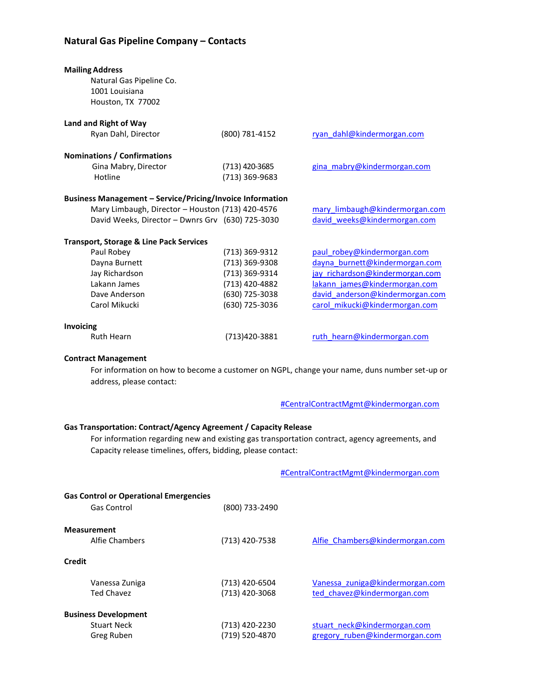## **Natural Gas Pipeline Company – Contacts**

| <b>Mailing Address</b><br>Natural Gas Pipeline Co.<br>1001 Louisiana<br>Houston, TX 77002                                                                                                                                                                                   |                                  |                                                                |  |
|-----------------------------------------------------------------------------------------------------------------------------------------------------------------------------------------------------------------------------------------------------------------------------|----------------------------------|----------------------------------------------------------------|--|
| Land and Right of Way                                                                                                                                                                                                                                                       |                                  |                                                                |  |
| Ryan Dahl, Director                                                                                                                                                                                                                                                         | (800) 781-4152                   | ryan dahl@kindermorgan.com                                     |  |
| <b>Nominations / Confirmations</b>                                                                                                                                                                                                                                          |                                  |                                                                |  |
| Gina Mabry, Director                                                                                                                                                                                                                                                        | (713) 420-3685                   | gina mabry@kindermorgan.com                                    |  |
| Hotline                                                                                                                                                                                                                                                                     | (713) 369-9683                   |                                                                |  |
|                                                                                                                                                                                                                                                                             |                                  |                                                                |  |
| <b>Business Management - Service/Pricing/Invoice Information</b>                                                                                                                                                                                                            |                                  |                                                                |  |
| Mary Limbaugh, Director - Houston (713) 420-4576                                                                                                                                                                                                                            |                                  | mary limbaugh@kindermorgan.com                                 |  |
| David Weeks, Director - Dwnrs Grv (630) 725-3030                                                                                                                                                                                                                            |                                  | david weeks@kindermorgan.com                                   |  |
| <b>Transport, Storage &amp; Line Pack Services</b>                                                                                                                                                                                                                          |                                  |                                                                |  |
| Paul Robey                                                                                                                                                                                                                                                                  | (713) 369-9312                   | paul robey@kindermorgan.com                                    |  |
| Dayna Burnett                                                                                                                                                                                                                                                               | (713) 369-9308                   | dayna burnett@kindermorgan.com                                 |  |
| Jay Richardson                                                                                                                                                                                                                                                              | (713) 369-9314                   | jay richardson@kindermorgan.com                                |  |
| Lakann James                                                                                                                                                                                                                                                                | (713) 420-4882                   | lakann james@kindermorgan.com                                  |  |
| Dave Anderson                                                                                                                                                                                                                                                               | (630) 725-3038                   | david anderson@kindermorgan.com                                |  |
| Carol Mikucki                                                                                                                                                                                                                                                               | (630) 725-3036                   | carol mikucki@kindermorgan.com                                 |  |
| Invoicing                                                                                                                                                                                                                                                                   |                                  |                                                                |  |
| <b>Ruth Hearn</b>                                                                                                                                                                                                                                                           | (713)420-3881                    | ruth hearn@kindermorgan.com                                    |  |
| <b>Contract Management</b><br>For information on how to become a customer on NGPL, change your name, duns number set-up or<br>address, please contact:<br>#CentralContractMgmt@kindermorgan.com                                                                             |                                  |                                                                |  |
|                                                                                                                                                                                                                                                                             |                                  |                                                                |  |
| Gas Transportation: Contract/Agency Agreement / Capacity Release<br>For information regarding new and existing gas transportation contract, agency agreements, and<br>Capacity release timelines, offers, bidding, please contact:<br>#CentralContractMgmt@kindermorgan.com |                                  |                                                                |  |
| <b>Gas Control or Operational Emergencies</b>                                                                                                                                                                                                                               |                                  |                                                                |  |
| <b>Gas Control</b>                                                                                                                                                                                                                                                          | (800) 733-2490                   |                                                                |  |
|                                                                                                                                                                                                                                                                             |                                  |                                                                |  |
| <b>Measurement</b><br>Alfie Chambers                                                                                                                                                                                                                                        | (713) 420-7538                   | Alfie Chambers@kindermorgan.com                                |  |
| <b>Credit</b>                                                                                                                                                                                                                                                               |                                  |                                                                |  |
|                                                                                                                                                                                                                                                                             |                                  |                                                                |  |
| Vanessa Zuniga<br><b>Ted Chavez</b>                                                                                                                                                                                                                                         | (713) 420-6504<br>(713) 420-3068 | Vanessa zuniga@kindermorgan.com<br>ted chavez@kindermorgan.com |  |
|                                                                                                                                                                                                                                                                             |                                  |                                                                |  |
| <b>Business Development</b>                                                                                                                                                                                                                                                 |                                  |                                                                |  |

Stuart Neck (713) 420-2230 stuart neck@kindermorgan.com<br>
Greg Ruben (719) 520-4870 stregory ruben@kindermorgan.com [gregory\\_ruben@kindermorgan.com](mailto:gregory_ruben@kindermorgan.com)